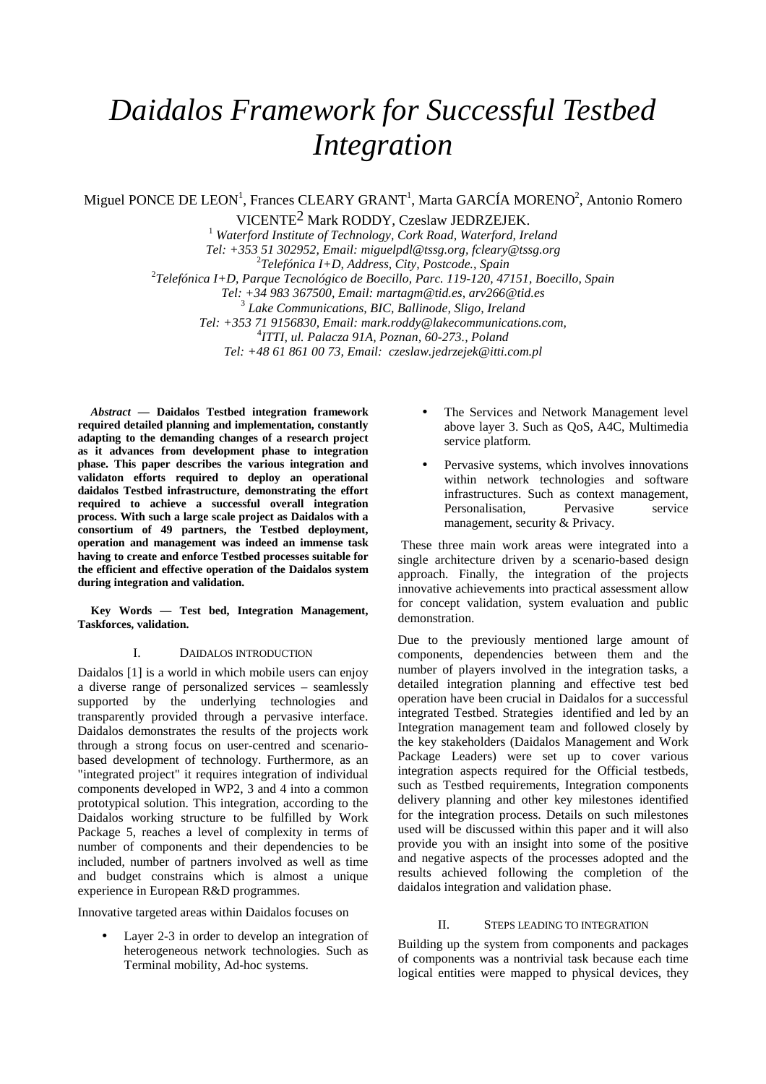# *Daidalos Framework for Successful Testbed Integration*

Miguel PONCE DE LEON<sup>1</sup>, Frances CLEARY GRANT<sup>1</sup>, Marta GARCÍA MORENO<sup>2</sup>, Antonio Romero

VICENTE2 Mark RODDY, Czeslaw JEDRZEJEK.

<sup>1</sup> Waterford Institute of Technology, Cork Road, Waterford, Ireland *Tel: +353 51 302952, Email: miguelpdl@tssg.org, fcleary@tssg.org*  2 *Telefónica I+D, Address, City, Postcode., Spain*  2 *Telefónica I+D, Parque Tecnológico de Boecillo, Parc. 119-120, 47151, Boecillo, Spain Tel: +34 983 367500, Email: martagm@tid.es, arv266@tid.es*  3  *Lake Communications, BIC, Ballinode, Sligo, Ireland Tel: +353 71 9156830, Email: mark.roddy@lakecommunications.com,*  4 *ITTI, ul. Palacza 91A, Poznan, 60-273., Poland Tel: +48 61 861 00 73, Email: czeslaw.jedrzejek@itti.com.pl* 

*Abstract* **— Daidalos Testbed integration framework required detailed planning and implementation, constantly adapting to the demanding changes of a research project as it advances from development phase to integration phase. This paper describes the various integration and validaton efforts required to deploy an operational daidalos Testbed infrastructure, demonstrating the effort required to achieve a successful overall integration process. With such a large scale project as Daidalos with a consortium of 49 partners, the Testbed deployment, operation and management was indeed an immense task having to create and enforce Testbed processes suitable for the efficient and effective operation of the Daidalos system during integration and validation.** 

**Key Words — Test bed, Integration Management, Taskforces, validation.** 

### I. DAIDALOS INTRODUCTION

Daidalos [1] is a world in which mobile users can enjoy a diverse range of personalized services – seamlessly supported by the underlying technologies and transparently provided through a pervasive interface. Daidalos demonstrates the results of the projects work through a strong focus on user-centred and scenariobased development of technology. Furthermore, as an "integrated project" it requires integration of individual components developed in WP2, 3 and 4 into a common prototypical solution. This integration, according to the Daidalos working structure to be fulfilled by Work Package 5, reaches a level of complexity in terms of number of components and their dependencies to be included, number of partners involved as well as time and budget constrains which is almost a unique experience in European R&D programmes.

Innovative targeted areas within Daidalos focuses on

Layer 2-3 in order to develop an integration of heterogeneous network technologies. Such as Terminal mobility, Ad-hoc systems.

- The Services and Network Management level above layer 3. Such as QoS, A4C, Multimedia service platform.
- Pervasive systems, which involves innovations within network technologies and software infrastructures. Such as context management, Personalisation, Pervasive service management, security & Privacy.

 These three main work areas were integrated into a single architecture driven by a scenario-based design approach. Finally, the integration of the projects innovative achievements into practical assessment allow for concept validation, system evaluation and public demonstration.

Due to the previously mentioned large amount of components, dependencies between them and the number of players involved in the integration tasks, a detailed integration planning and effective test bed operation have been crucial in Daidalos for a successful integrated Testbed. Strategies identified and led by an Integration management team and followed closely by the key stakeholders (Daidalos Management and Work Package Leaders) were set up to cover various integration aspects required for the Official testbeds, such as Testbed requirements, Integration components delivery planning and other key milestones identified for the integration process. Details on such milestones used will be discussed within this paper and it will also provide you with an insight into some of the positive and negative aspects of the processes adopted and the results achieved following the completion of the daidalos integration and validation phase.

#### II. STEPS LEADING TO INTEGRATION

Building up the system from components and packages of components was a nontrivial task because each time logical entities were mapped to physical devices, they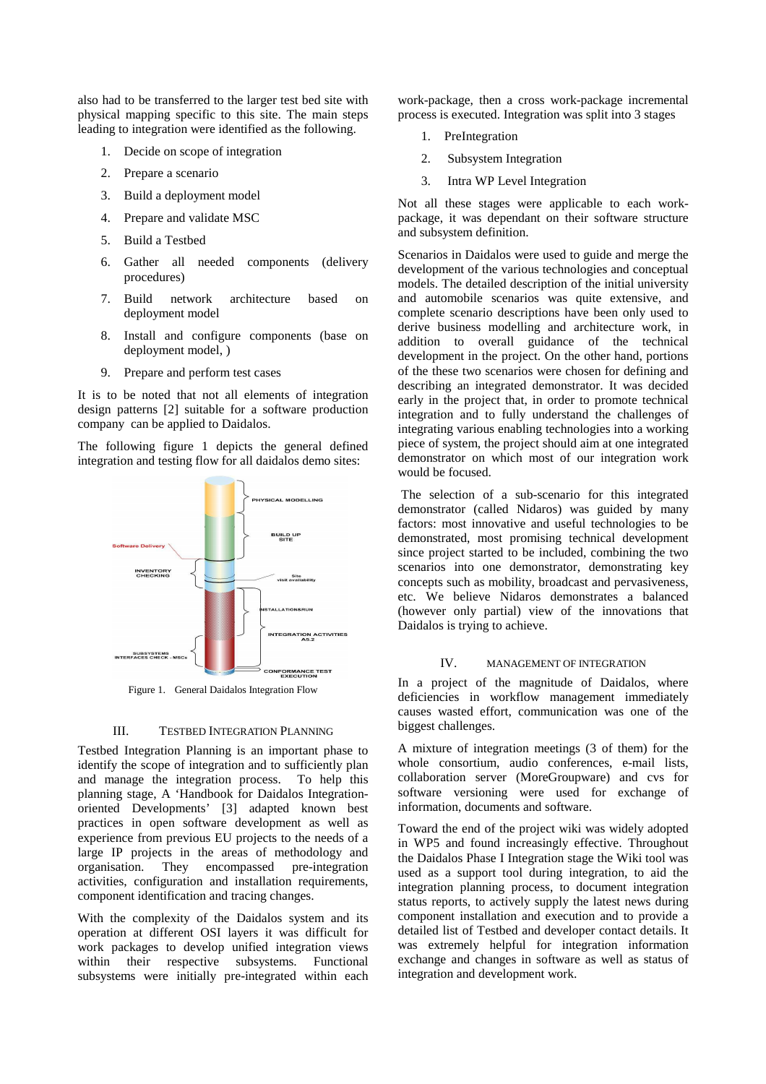also had to be transferred to the larger test bed site with physical mapping specific to this site. The main steps leading to integration were identified as the following.

- 1. Decide on scope of integration
- 2. Prepare a scenario
- 3. Build a deployment model
- 4. Prepare and validate MSC
- 5. Build a Testbed
- 6. Gather all needed components (delivery procedures)
- 7. Build network architecture based on deployment model
- 8. Install and configure components (base on deployment model, )
- 9. Prepare and perform test cases

It is to be noted that not all elements of integration design patterns [2] suitable for a software production company can be applied to Daidalos.

The following figure 1 depicts the general defined integration and testing flow for all daidalos demo sites:



Figure 1. General Daidalos Integration Flow

#### III. TESTBED INTEGRATION PLANNING

Testbed Integration Planning is an important phase to identify the scope of integration and to sufficiently plan and manage the integration process. To help this planning stage, A 'Handbook for Daidalos Integrationoriented Developments' [3] adapted known best practices in open software development as well as experience from previous EU projects to the needs of a large IP projects in the areas of methodology and organisation. They encompassed pre-integration activities, configuration and installation requirements, component identification and tracing changes.

With the complexity of the Daidalos system and its operation at different OSI layers it was difficult for work packages to develop unified integration views within their respective subsystems. Functional subsystems were initially pre-integrated within each

work-package, then a cross work-package incremental process is executed. Integration was split into 3 stages

- 1. PreIntegration
- 2. Subsystem Integration
- 3. Intra WP Level Integration

Not all these stages were applicable to each workpackage, it was dependant on their software structure and subsystem definition.

Scenarios in Daidalos were used to guide and merge the development of the various technologies and conceptual models. The detailed description of the initial university and automobile scenarios was quite extensive, and complete scenario descriptions have been only used to derive business modelling and architecture work, in addition to overall guidance of the technical development in the project. On the other hand, portions of the these two scenarios were chosen for defining and describing an integrated demonstrator. It was decided early in the project that, in order to promote technical integration and to fully understand the challenges of integrating various enabling technologies into a working piece of system, the project should aim at one integrated demonstrator on which most of our integration work would be focused.

 The selection of a sub-scenario for this integrated demonstrator (called Nidaros) was guided by many factors: most innovative and useful technologies to be demonstrated, most promising technical development since project started to be included, combining the two scenarios into one demonstrator, demonstrating key concepts such as mobility, broadcast and pervasiveness, etc. We believe Nidaros demonstrates a balanced (however only partial) view of the innovations that Daidalos is trying to achieve.

#### IV. MANAGEMENT OF INTEGRATION

In a project of the magnitude of Daidalos, where deficiencies in workflow management immediately causes wasted effort, communication was one of the biggest challenges.

A mixture of integration meetings (3 of them) for the whole consortium, audio conferences, e-mail lists, collaboration server (MoreGroupware) and cvs for software versioning were used for exchange of information, documents and software.

Toward the end of the project wiki was widely adopted in WP5 and found increasingly effective. Throughout the Daidalos Phase I Integration stage the Wiki tool was used as a support tool during integration, to aid the integration planning process, to document integration status reports, to actively supply the latest news during component installation and execution and to provide a detailed list of Testbed and developer contact details. It was extremely helpful for integration information exchange and changes in software as well as status of integration and development work.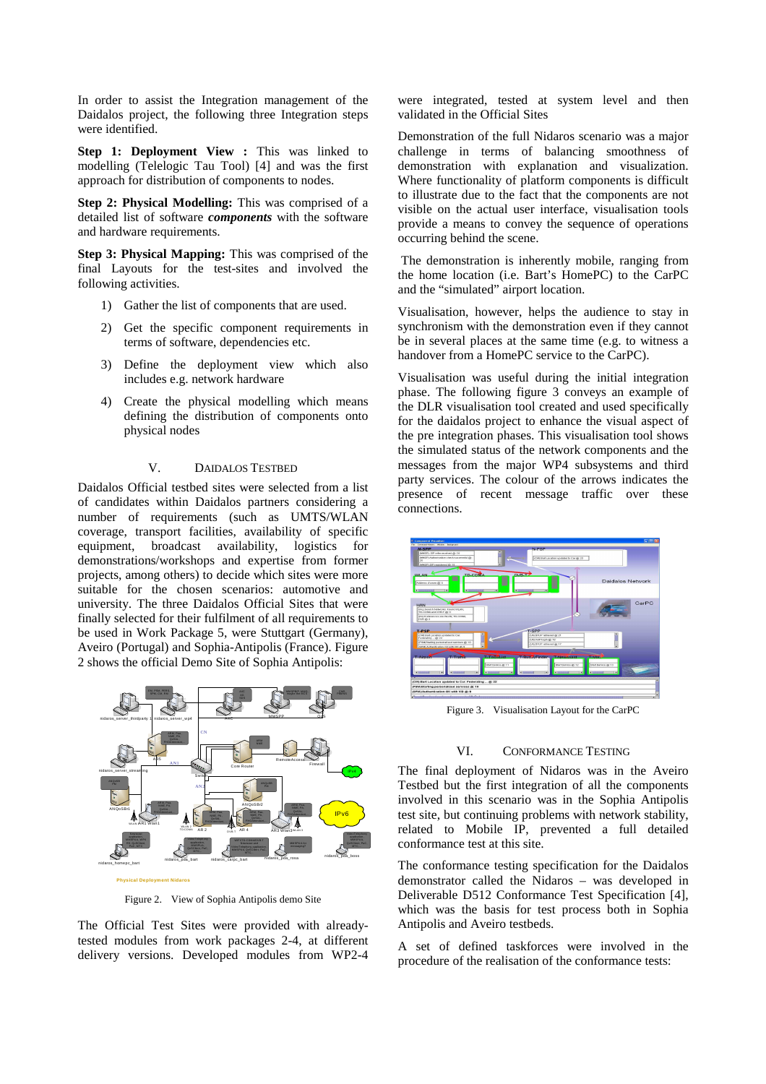In order to assist the Integration management of the Daidalos project, the following three Integration steps were identified.

**Step 1: Deployment View :** This was linked to modelling (Telelogic Tau Tool) [4] and was the first approach for distribution of components to nodes.

**Step 2: Physical Modelling:** This was comprised of a detailed list of software *components* with the software and hardware requirements.

**Step 3: Physical Mapping:** This was comprised of the final Layouts for the test-sites and involved the following activities.

- 1) Gather the list of components that are used.
- 2) Get the specific component requirements in terms of software, dependencies etc.
- 3) Define the deployment view which also includes e.g. network hardware
- 4) Create the physical modelling which means defining the distribution of components onto physical nodes

#### V. DAIDALOS TESTBED

Daidalos Official testbed sites were selected from a list of candidates within Daidalos partners considering a number of requirements (such as UMTS/WLAN coverage, transport facilities, availability of specific equipment, broadcast availability, logistics for demonstrations/workshops and expertise from former projects, among others) to decide which sites were more suitable for the chosen scenarios: automotive and university. The three Daidalos Official Sites that were finally selected for their fulfilment of all requirements to be used in Work Package 5, were Stuttgart (Germany), Aveiro (Portugal) and Sophia-Antipolis (France). Figure 2 shows the official Demo Site of Sophia Antipolis:



Figure 2. View of Sophia Antipolis demo Site

The Official Test Sites were provided with alreadytested modules from work packages 2-4, at different delivery versions. Developed modules from WP2-4 were integrated, tested at system level and then validated in the Official Sites

Demonstration of the full Nidaros scenario was a major challenge in terms of balancing smoothness of demonstration with explanation and visualization. Where functionality of platform components is difficult to illustrate due to the fact that the components are not visible on the actual user interface, visualisation tools provide a means to convey the sequence of operations occurring behind the scene.

 The demonstration is inherently mobile, ranging from the home location (i.e. Bart's HomePC) to the CarPC and the "simulated" airport location.

Visualisation, however, helps the audience to stay in synchronism with the demonstration even if they cannot be in several places at the same time (e.g. to witness a handover from a HomePC service to the CarPC).

Visualisation was useful during the initial integration phase. The following figure 3 conveys an example of the DLR visualisation tool created and used specifically for the daidalos project to enhance the visual aspect of the pre integration phases. This visualisation tool shows the simulated status of the network components and the messages from the major WP4 subsystems and third party services. The colour of the arrows indicates the presence of recent message traffic over these connections.



Figure 3. Visualisation Layout for the CarPC

#### VI. CONFORMANCE TESTING

The final deployment of Nidaros was in the Aveiro Testbed but the first integration of all the components involved in this scenario was in the Sophia Antipolis test site, but continuing problems with network stability, related to Mobile IP, prevented a full detailed conformance test at this site.

The conformance testing specification for the Daidalos demonstrator called the Nidaros – was developed in Deliverable D512 Conformance Test Specification [4], which was the basis for test process both in Sophia Antipolis and Aveiro testbeds.

A set of defined taskforces were involved in the procedure of the realisation of the conformance tests: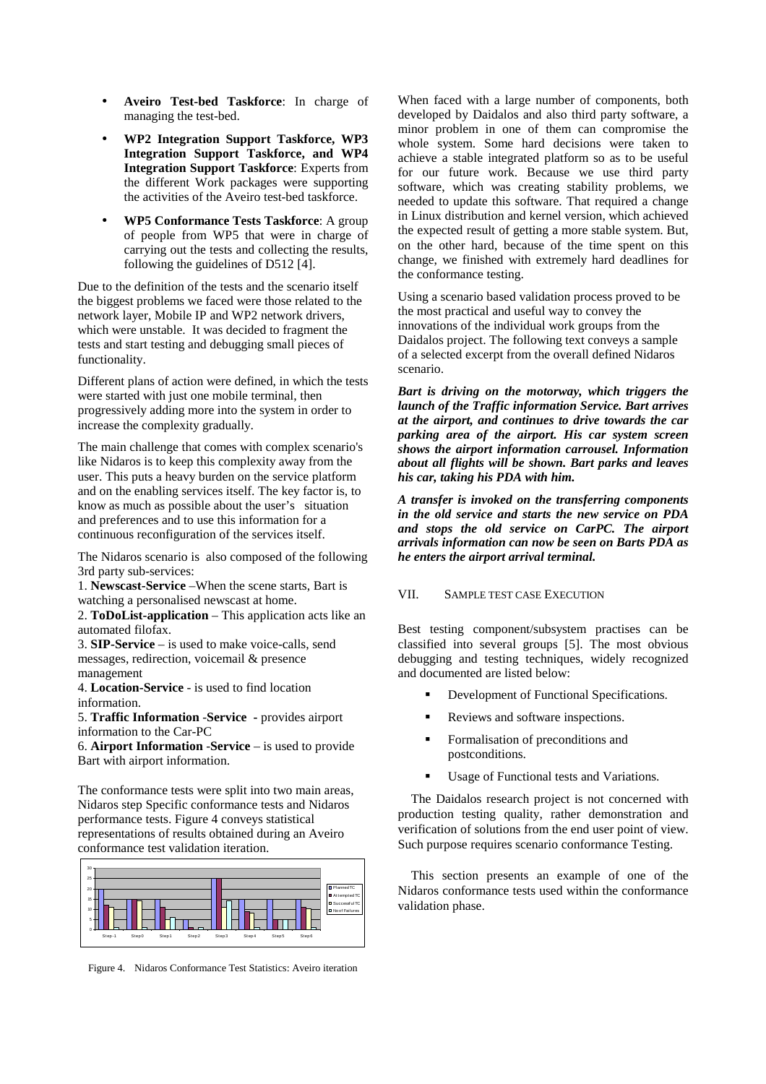- **Aveiro Test-bed Taskforce**: In charge of managing the test-bed.
- **WP2 Integration Support Taskforce, WP3 Integration Support Taskforce, and WP4 Integration Support Taskforce**: Experts from the different Work packages were supporting the activities of the Aveiro test-bed taskforce.
- **WP5 Conformance Tests Taskforce**: A group of people from WP5 that were in charge of carrying out the tests and collecting the results, following the guidelines of D512 [4].

Due to the definition of the tests and the scenario itself the biggest problems we faced were those related to the network layer, Mobile IP and WP2 network drivers, which were unstable. It was decided to fragment the tests and start testing and debugging small pieces of functionality.

Different plans of action were defined, in which the tests were started with just one mobile terminal, then progressively adding more into the system in order to increase the complexity gradually.

The main challenge that comes with complex scenario's like Nidaros is to keep this complexity away from the user. This puts a heavy burden on the service platform and on the enabling services itself. The key factor is, to know as much as possible about the user's situation and preferences and to use this information for a continuous reconfiguration of the services itself.

The Nidaros scenario is also composed of the following 3rd party sub-services:

1. **Newscast-Service** –When the scene starts, Bart is watching a personalised newscast at home.

2. **ToDoList-application** – This application acts like an automated filofax.

3. **SIP-Service** – is used to make voice-calls, send messages, redirection, voicemail & presence management

4. **Location-Service** - is used to find location information.

5. **Traffic Information** -**Service -** provides airport information to the Car-PC

6. **Airport Information** -**Service** – is used to provide Bart with airport information.

The conformance tests were split into two main areas, Nidaros step Specific conformance tests and Nidaros performance tests. Figure 4 conveys statistical representations of results obtained during an Aveiro conformance test validation iteration.



Figure 4. Nidaros Conformance Test Statistics: Aveiro iteration

When faced with a large number of components, both developed by Daidalos and also third party software, a minor problem in one of them can compromise the whole system. Some hard decisions were taken to achieve a stable integrated platform so as to be useful for our future work. Because we use third party software, which was creating stability problems, we needed to update this software. That required a change in Linux distribution and kernel version, which achieved the expected result of getting a more stable system. But, on the other hard, because of the time spent on this change, we finished with extremely hard deadlines for the conformance testing.

Using a scenario based validation process proved to be the most practical and useful way to convey the innovations of the individual work groups from the Daidalos project. The following text conveys a sample of a selected excerpt from the overall defined Nidaros scenario.

*Bart is driving on the motorway, which triggers the launch of the Traffic information Service. Bart arrives at the airport, and continues to drive towards the car parking area of the airport. His car system screen shows the airport information carrousel. Information about all flights will be shown. Bart parks and leaves his car, taking his PDA with him.* 

*A transfer is invoked on the transferring components in the old service and starts the new service on PDA and stops the old service on CarPC. The airport arrivals information can now be seen on Barts PDA as he enters the airport arrival terminal.* 

# VII. SAMPLE TEST CASE EXECUTION

Best testing component/subsystem practises can be classified into several groups [5]. The most obvious debugging and testing techniques, widely recognized and documented are listed below:

- Development of Functional Specifications.
- Reviews and software inspections.
- Formalisation of preconditions and postconditions.
- Usage of Functional tests and Variations.

The Daidalos research project is not concerned with production testing quality, rather demonstration and verification of solutions from the end user point of view. Such purpose requires scenario conformance Testing.

This section presents an example of one of the Nidaros conformance tests used within the conformance validation phase.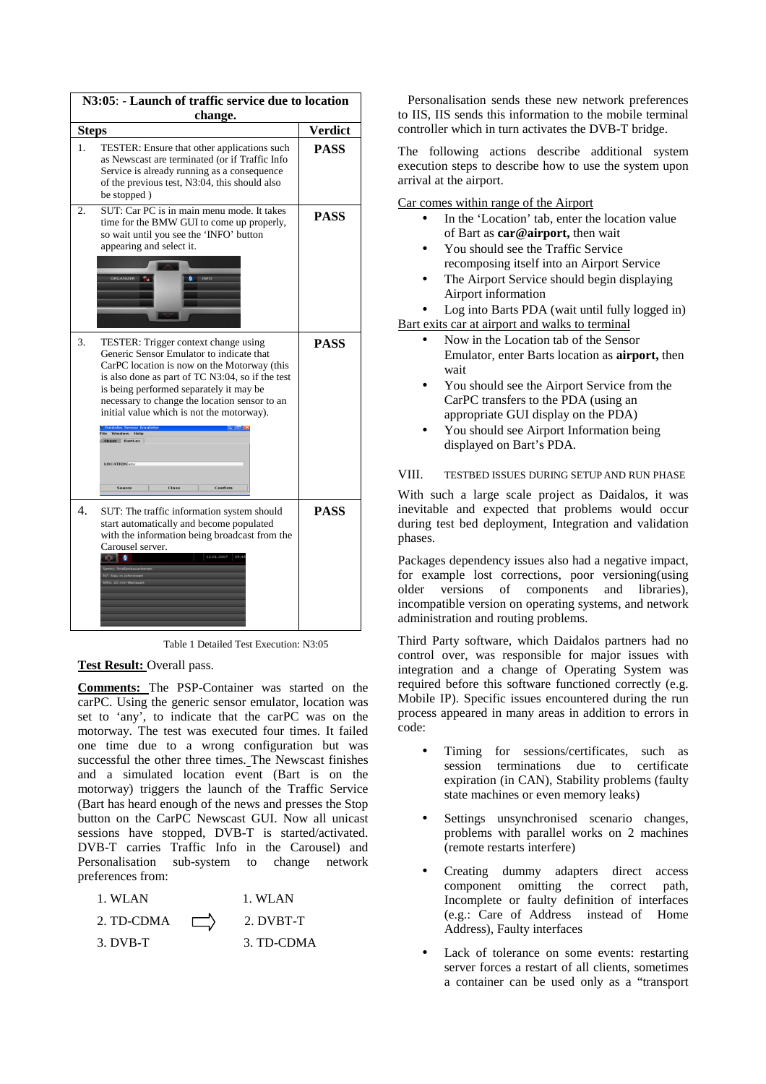| N3:05: - Launch of traffic service due to location<br>change. |                                                                                                                                                                                                                                                                                                                              |             |  |
|---------------------------------------------------------------|------------------------------------------------------------------------------------------------------------------------------------------------------------------------------------------------------------------------------------------------------------------------------------------------------------------------------|-------------|--|
|                                                               |                                                                                                                                                                                                                                                                                                                              |             |  |
| 1.                                                            | TESTER: Ensure that other applications such<br>as Newscast are terminated (or if Traffic Info<br>Service is already running as a consequence<br>of the previous test, N3:04, this should also<br>be stopped)                                                                                                                 | <b>PASS</b> |  |
| 2.                                                            | SUT: Car PC is in main menu mode. It takes<br>time for the BMW GUI to come up properly,<br>so wait until you see the 'INFO' button<br>appearing and select it.                                                                                                                                                               | <b>PASS</b> |  |
|                                                               | <b>ORGANIZER</b><br>INFO                                                                                                                                                                                                                                                                                                     |             |  |
| 3.                                                            | TESTER: Trigger context change using<br>Generic Sensor Emulator to indicate that<br>CarPC location is now on the Motorway (this<br>is also done as part of TC N3:04, so if the test<br>is being performed separately it may be<br>necessary to change the location sensor to an<br>initial value which is not the motorway). | <b>PASS</b> |  |
|                                                               | <b>Daidalos Sensor Emulator</b><br>ile Window Help<br>About BartLoc<br><b>LOCATION</b> any<br>Close<br>Confirm<br><b>Source</b>                                                                                                                                                                                              |             |  |
| $\overline{4}$ .                                              | SUT: The traffic information system should<br>start automatically and become populated<br>with the information being broadcast from the<br>Carousel server.<br>o o<br>12.01.2007<br>Santry: Straßenbauarbeiten<br>N7: Stau in Johnstow<br>M50: 20 min Warteze                                                                | <b>PASS</b> |  |

Table 1 Detailed Test Execution: N3:05

#### **Test Result:** Overall pass.

**Comments:** The PSP-Container was started on the carPC. Using the generic sensor emulator, location was set to 'any', to indicate that the carPC was on the motorway. The test was executed four times. It failed one time due to a wrong configuration but was successful the other three times. The Newscast finishes and a simulated location event (Bart is on the motorway) triggers the launch of the Traffic Service (Bart has heard enough of the news and presses the Stop button on the CarPC Newscast GUI. Now all unicast sessions have stopped, DVB-T is started/activated. DVB-T carries Traffic Info in the Carousel) and Personalisation sub-system to change network preferences from:

| 1. WLAN    | 1. WLAN    |
|------------|------------|
| 2. TD-CDMA | 2. DVBT-T  |
| $3. DVB-T$ | 3. TD-CDMA |

 Personalisation sends these new network preferences to IIS, IIS sends this information to the mobile terminal controller which in turn activates the DVB-T bridge.

The following actions describe additional system execution steps to describe how to use the system upon arrival at the airport.

Car comes within range of the Airport

- In the 'Location' tab, enter the location value of Bart as **car@airport,** then wait
- You should see the Traffic Service recomposing itself into an Airport Service
- The Airport Service should begin displaying Airport information
- Log into Barts PDA (wait until fully logged in) Bart exits car at airport and walks to terminal
	- Now in the Location tab of the Sensor Emulator, enter Barts location as **airport,** then wait
	- You should see the Airport Service from the CarPC transfers to the PDA (using an appropriate GUI display on the PDA)
	- You should see Airport Information being displayed on Bart's PDA.

#### VIII. TESTBED ISSUES DURING SETUP AND RUN PHASE

With such a large scale project as Daidalos, it was inevitable and expected that problems would occur during test bed deployment, Integration and validation phases.

Packages dependency issues also had a negative impact, for example lost corrections, poor versioning(using older versions of components and libraries), incompatible version on operating systems, and network administration and routing problems.

Third Party software, which Daidalos partners had no control over, was responsible for major issues with integration and a change of Operating System was required before this software functioned correctly (e.g. Mobile IP). Specific issues encountered during the run process appeared in many areas in addition to errors in code:

- Timing for sessions/certificates, such as session terminations due to certificate expiration (in CAN), Stability problems (faulty state machines or even memory leaks)
- Settings unsynchronised scenario changes, problems with parallel works on 2 machines (remote restarts interfere)
- Creating dummy adapters direct access component omitting the correct path, Incomplete or faulty definition of interfaces (e.g.: Care of Address instead of Home Address), Faulty interfaces
- Lack of tolerance on some events: restarting server forces a restart of all clients, sometimes a container can be used only as a "transport